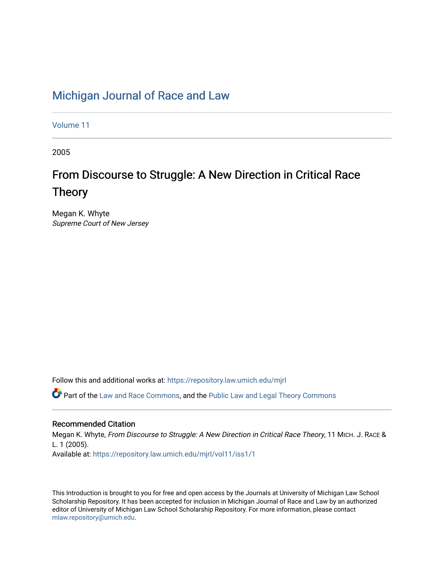## [Michigan Journal of Race and Law](https://repository.law.umich.edu/mjrl)

[Volume 11](https://repository.law.umich.edu/mjrl/vol11)

2005

# From Discourse to Struggle: A New Direction in Critical Race Theory

Megan K. Whyte Supreme Court of New Jersey

Follow this and additional works at: [https://repository.law.umich.edu/mjrl](https://repository.law.umich.edu/mjrl?utm_source=repository.law.umich.edu%2Fmjrl%2Fvol11%2Fiss1%2F1&utm_medium=PDF&utm_campaign=PDFCoverPages) 

Part of the [Law and Race Commons,](http://network.bepress.com/hgg/discipline/1300?utm_source=repository.law.umich.edu%2Fmjrl%2Fvol11%2Fiss1%2F1&utm_medium=PDF&utm_campaign=PDFCoverPages) and the [Public Law and Legal Theory Commons](http://network.bepress.com/hgg/discipline/871?utm_source=repository.law.umich.edu%2Fmjrl%2Fvol11%2Fiss1%2F1&utm_medium=PDF&utm_campaign=PDFCoverPages) 

#### Recommended Citation

Megan K. Whyte, From Discourse to Struggle: A New Direction in Critical Race Theory, 11 MICH. J. RACE & L. 1 (2005). Available at: [https://repository.law.umich.edu/mjrl/vol11/iss1/1](https://repository.law.umich.edu/mjrl/vol11/iss1/1?utm_source=repository.law.umich.edu%2Fmjrl%2Fvol11%2Fiss1%2F1&utm_medium=PDF&utm_campaign=PDFCoverPages) 

This Introduction is brought to you for free and open access by the Journals at University of Michigan Law School Scholarship Repository. It has been accepted for inclusion in Michigan Journal of Race and Law by an authorized editor of University of Michigan Law School Scholarship Repository. For more information, please contact [mlaw.repository@umich.edu.](mailto:mlaw.repository@umich.edu)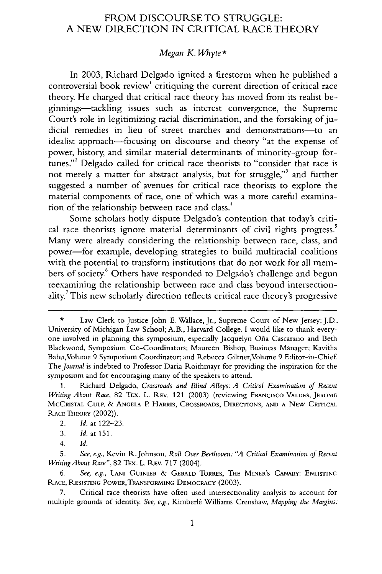### FROM DISCOURSE TO STRUGGLE: A NEW DIRECTION **IN** CRITICAL RACE THEORY

#### *Megan K. Whyte\**

In 2003, Richard Delgado ignited a firestorm when he published a controversial book review' critiquing the current direction of critical race theory. He charged that critical race theory has moved from its realist beginnings-tackling issues such as interest convergence, the Supreme Court's role in legitimizing racial discrimination, and the forsaking of judicial remedies in lieu of street marches and demonstrations-to an idealist approach—focusing on discourse and theory "at the expense of power, history, and similar material determinants of minority-group fortunes."<sup>2</sup> Delgado called for critical race theorists to "consider that race is not merely a matter for abstract analysis, but for struggle," and further suggested a number of avenues for critical race theorists to explore the material components of race, one of which was a more careful examination of the relationship between race and class.<sup>4</sup>

Some scholars hotly dispute Delgado's contention that today's critical race theorists ignore material determinants of civil rights progress.<sup>5</sup> Many were already considering the relationship between race, class, and power-for example, developing strategies to build multiracial coalitions with the potential to transform institutions that do not work for all members of society.<sup>6</sup> Others have responded to Delgado's challenge and begun reexamining the relationship between race and class beyond intersectionality.<sup>7</sup> This new scholarly direction reflects critical race theory's progressive

4. *Id.*

7. Critical race theorists have often used intersectionality analysis to account for multiple grounds of identity. See, e.g., Kimberlé Williams Crenshaw, Mapping the Margins:

Law Clerk to Justice John E. Wallace, Jr., Supreme Court of New Jersey; J.D., University of Michigan Law School; A.B., Harvard College. I would like to thank everyone involved in planning this symposium, especially Jacquelyn Ofia Cascarano and Beth Blackwood, Symposium Co-Coordinators; Maureen Bishop, Business Manager; Kavitha Babu,Volume 9 Symposium Coordinator; and Rebecca Giltner,Volume 9 Editor-in-Chief. *The Journal* is indebted to Professor Daria Roithmayr for providing the inspiration for the symposium and for encouraging many of the speakers to attend.

<sup>1.</sup> Richard Delgado, Crossroads and Blind Alleys: *A* Critical Examination *of Recent Writing About Race,* 82 TEX. L. REv. 121 (2003) (reviewing FRANCISCO **VALDES,** JEROME MCCRISTAL **CULP,** & **ANGELA** P. HARRIs, CROSSROADS, DIRECTIONS, **AND A NEW** CRITICAL **RACE** THEORY (2002)).

<sup>2.</sup> *Id.* at 122-23.

<sup>3.</sup> *Id.* at 151.

<sup>5.</sup> *See, e.g.,* Kevin R.Johnson, *Roll Over Beethoven: "A Critical Examination of Recent Writing About Race",* 82 TEx. L. REv. **717** (2004).

*<sup>6.</sup> See, e.g.,* LANi **GUINIER** & GERALD TORRES, THE MINER'S **CANARY:** ENLISTING **RACE, RESISTING** POWER,TRANSFORMING DEMOCRACY (2003).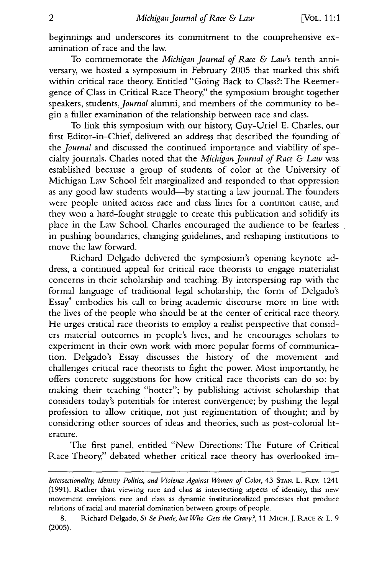beginnings and underscores its commitment to the comprehensive examination of race and the law.

To commemorate the *Michigan Journal of Race & Law's* tenth anniversary, we hosted a symposium in February 2005 that marked this shift within critical race theory. Entitled "Going Back to Class?: The Reemergence of Class in Critical Race Theory," the symposium brought together speakers, students, Journal alumni, and members of the community to begin a fuller examination of the relationship between race and class.

To link this symposium with our history, Guy-Uriel **E.** Charles, our first Editor-in-Chief, delivered an address that described the founding of the *Journal* and discussed the continued importance and viability of specialty journals. Charles noted that the *Michigan Journal of Race & Law* was established because a group of students of color at the University of Michigan Law School felt marginalized and responded to that oppression as any good law students would-by starting a law journal. The founders were people united across race and class lines for a common cause, and they won a hard-fought struggle to create this publication and solidify its place in the Law School. Charles encouraged the audience to be fearless in pushing boundaries, changing guidelines, and reshaping institutions to move the law forward.

Richard Delgado delivered the symposium's opening keynote address, a continued appeal for critical race theorists to engage materialist concerns in their scholarship and teaching. By interspersing rap with the formal language of traditional legal scholarship, the form of Delgado's Essay<sup>8</sup> embodies his call to bring academic discourse more in line with the lives of the people who should be at the center of critical race theory. He urges critical race theorists to employ a realist perspective that considers material outcomes in people's lives, and he encourages scholars to experiment in their own work with more popular forms of communication. Delgado's Essay discusses the history of the movement and challenges critical race theorists to fight the power. Most importantly, he offers concrete suggestions for how critical race theorists can do so: by making their teaching "hotter"; by publishing activist scholarship that considers today's potentials for interest convergence; by pushing the legal profession to allow critique, not just regimentation of thought; and by considering other sources of ideas and theories, such as post-colonial literature.

The first panel, entitled "New Directions: The Future of Critical Race Theory," debated whether critical race theory has overlooked im-

*Intersectionality, Identity Politics, and Violence Against Women of Color,* 43 **STAN.** L. REV. 1241 (1991). Rather than viewing race and class as intersecting aspects of identity, this new movement envisions race and class as dynamic institutionalized processes that produce relations of racial and material domination between groups of people.

<sup>8.</sup> Richard Delgado, *Si Se Puede, but Who Gets the Gravy?,* 11 MIcH.J. **RACE &** L. 9 (2005).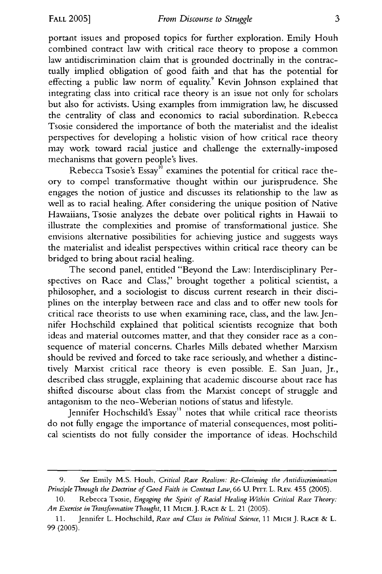portant issues and proposed topics for further exploration. Emily Houh combined contract law with critical race theory to propose a common law antidiscrimination claim that is grounded doctrinally in the contractually implied obligation of good faith and that has the potential for effecting a public law norm of equality.<sup>9</sup> Kevin Johnson explained that integrating class into critical race theory is an issue not only for scholars but also for activists. Using examples from immigration law, he discussed the centrality of class and economics to racial subordination. Rebecca Tsosie considered the importance of both the materialist and the idealist perspectives for developing a holistic vision of how critical race theory may work toward racial justice and challenge the externally-imposed mechanisms that govern people's lives.

Rebecca Tsosie's Essay<sup>10</sup> examines the potential for critical race theory to compel transformative thought within our jurisprudence. She engages the notion of justice and discusses its relationship to the law as well as to racial healing. After considering the unique position of Native Hawaiians, Tsosie analyzes the debate over political rights in Hawaii to illustrate the complexities and promise of transformational justice. She envisions alternative possibilities for achieving justice and suggests ways the materialist and idealist perspectives within critical race theory can be bridged to bring about racial healing.

The second panel, entitled "Beyond the Law: Interdisciplinary Perspectives on Race and Class," brought together a political scientist, a philosopher, and a sociologist to discuss current research in their disciplines on the interplay between race and class and to offer new tools for critical race theorists to use when examining race, class, and the law. Jennifer Hochschild explained that political scientists recognize that both ideas and material outcomes matter, and that they consider race as a consequence of material concerns. Charles Mills debated whether Marxism should be revived and forced to take race seriously, and whether a distinctively Marxist critical race theory is even possible. E. San Juan, Jr., described class struggle, explaining that academic discourse about race has shifted discourse about class from the Marxist concept of struggle and antagonism to the neo-Weberian notions of status and lifestyle.

Jennifer Hochschild's Essay<sup>11</sup> notes that while critical race theorists do not fully engage the importance of material consequences, most political scientists do not fully consider the importance of ideas. Hochschild

*<sup>9.</sup> See* Emily M.S. Houh, *Critical Race Realism: Re-Claiming the Antidiscrimination Principle Through the Doctrine of Good Faith in Contract Law,* 66 U. **PITT.** L. REV. 455 (2005).

Rebecca Tsosie, *Engaging the Spirit of Racial Healing Within Critical Race Theory: An Exercise in Transformative Thought,* **11** MicH.J. **RACE** & L. 21 (2005).

**<sup>11.</sup>** Jennifer L. Hochschild, *Race and Class in Political Science,* **11** MIcH J. RACE **&** L. 99 (2005).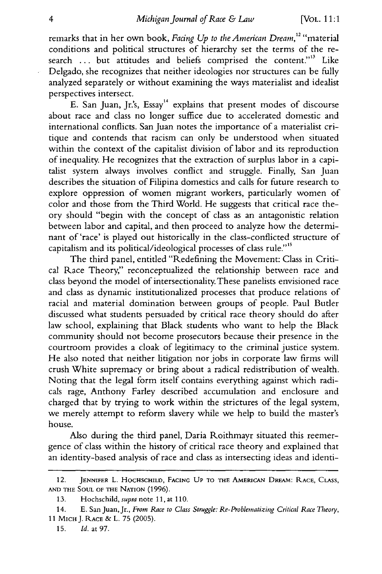remarks that in her own book, *Facing Up to the American Dream*,<sup>12</sup> ''materia conditions and political structures of hierarchy set the terms of the research ... but attitudes and beliefs comprised the content."<sup>3</sup> Like Delgado, she recognizes that neither ideologies nor structures can be fully analyzed separately or without examining the ways materialist and idealist perspectives intersect.

E. San Juan, Jr.'s, Essay<sup>14</sup> explains that present modes of discourse about race and class no longer suffice due to accelerated domestic and international conflicts. San Juan notes the importance of a materialist critique and contends that racism can only be understood when situated within the context of the capitalist division of labor and its reproduction of inequality. He recognizes that the extraction of surplus labor in a capitalist system always involves conflict and struggle. Finally, San Juan describes the situation of Filipina domestics and calls for future research to explore oppression of women migrant workers, particularly women of color and those from the Third World. He suggests that critical race theory should "begin with the concept of class as an antagonistic relation between labor and capital, and then proceed to analyze how the determinant of 'race' is played out historically in the class-conflicted structure of capitalism and its political/ideological processes of class rule."<sup>15</sup>

The third panel, entitled "Redefining the Movement: Class in Critical Race Theory," reconceptualized the relationship between race and class beyond the model of intersectionality. These panelists envisioned race and class as dynamic institutionalized processes that produce relations of racial and material domination between groups of people. Paul Butler discussed what students persuaded by critical race theory should do after law school, explaining that Black students who want to help the Black community should not become prosecutors because their presence in the courtroom provides a cloak of legitimacy to the criminal justice system. He also noted that neither litigation nor jobs in corporate law firms will crush White supremacy or bring about a radical redistribution of wealth. Noting that the legal form itself contains everything against which radicals rage, Anthony Farley described accumulation and enclosure and charged that by trying to work within the strictures of the legal system, we merely attempt to reform slavery while we help to build the master's house.

Also during the third panel, Daria Roithmayr situated this reemergence of class within the history of critical race theory and explained that an identity-based analysis of race and class as intersecting ideas and identi-

<sup>12.</sup> JENNIFER L. **HOCHSCHILD,** FACING **UP** TO THE AMERICAN DREAM: **RACE, CLASS, AND** THE **SOUL OF** THE NATION (1996).

<sup>13.</sup> Hochschild, supra note **11,** at 110.

<sup>14.</sup> E. San Juan, Jr., *Fron Race to Class Struggle:* Re-Problematizing Critical *Race Theory,* 11 MICH J. RACE & L. 75 (2005).

<sup>15.</sup> *Id.* at 97.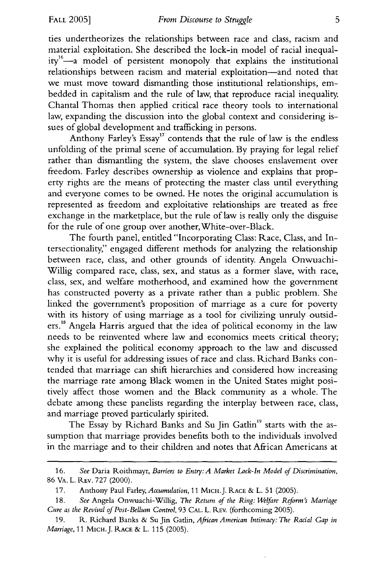ties undertheorizes the relationships between race and class, racism and material exploitation. She described the lock-in model of racial inequality<sup>16</sup>-a model of persistent monopoly that explains the institutional relationships between racism and material exploitation-and noted that we must move toward dismantling those institutional relationships, embedded in capitalism and the rule of law, that reproduce racial inequality. Chantal Thomas then applied critical race theory tools to international law, expanding the discussion into the global context and considering issues of global development and trafficking in persons.

Anthony Farley's Essay<sup>17</sup> contends that the rule of law is the endless unfolding of the primal scene of accumulation. By praying for legal relief rather than dismantling the system, the slave chooses enslavement over freedom. Farley describes ownership as violence and explains that property rights are the means of protecting the master class until everything and everyone comes to be owned. He notes the original accumulation is represented as freedom and exploitative relationships are treated as free exchange in the marketplace, but the rule of law is really only the disguise for the rule of one group over another, White-over-Black.

The fourth panel, entitled "Incorporating Class: Race, Class, and Intersectionality" engaged different methods for analyzing the relationship between race, class, and other grounds of identity. Angela Onwuachi-Willig compared race, class, sex, and status as a former slave, with race, class, sex, and welfare motherhood, and examined how the government has constructed poverty as a private rather than a public problem. She linked the government's proposition of marriage as a cure for poverty with its history of using marriage as a tool for civilizing unruly outsiders.18 Angela Harris argued that the idea of political economy in the law needs to be reinvented where law and economics meets critical theory; she explained the political economy approach to the law and discussed why it is useful for addressing issues of race and class. Richard Banks contended that marriage can shift hierarchies and considered how increasing the marriage rate among Black women in the United States might positively affect those women and the Black community as a whole. The debate among these panelists regarding the interplay between race, class, and marriage proved particularly spirited.

The Essay by Richard Banks and Su Jin Gatlin<sup>19</sup> starts with the assumption that marriage provides benefits both to the individuals involved in the marriage and to their children and notes that African Americans at

<sup>16.</sup> *See* Daria Roithmayr, *Barriers to Entry: A Market Lock-In Model of Discrimination,* 86 VA. L. REV. 727 (2000).

<sup>17.</sup> Anthony Paul Farley, *Accumulation,* 11 MICH.J. RACE **&** L. 51 (2005).

**<sup>18.</sup>** *See* Angela Onwuachi-Willig, *The Return of the Ring: Welfare Reform's Marriage Cure as the Revival of Post-Bellum Control,* 93 **CAL.** L. REv. (forthcoming 2005).

<sup>19.</sup> R. Richard Banks & Su Jin Gatlin, *African American Intimacy: The Racial Gap in Marriage,* 11 MICH.J. **RACE** & L. 115 (2005).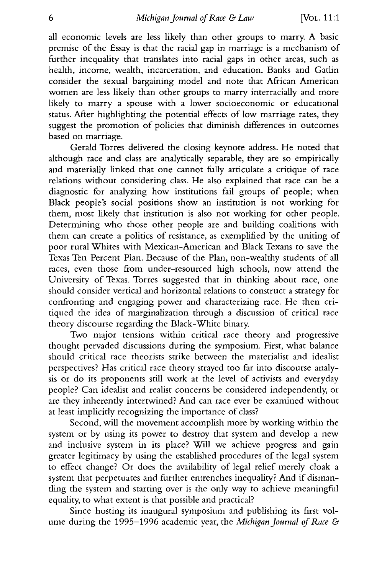all economic levels are less likely than other groups to marry. A basic premise of the Essay is that the racial gap in marriage is a mechanism of further inequality that translates into racial gaps in other areas, such as health, income, wealth, incarceration, and education. Banks and Gatlin consider the sexual bargaining model and note that African American women are less likely than other groups to marry interracially and more likely to marry a spouse with a lower socioeconomic or educational status. After highlighting the potential effects of low marriage rates, they suggest the promotion of policies that diminish differences in outcomes based on marriage.

Gerald Torres delivered the closing keynote address. He noted that although race and class are analytically separable, they are so empirically and materially linked that one cannot fully articulate a critique of race relations without considering class. He also explained that race can be a diagnostic for analyzing how institutions fail groups of people; when Black people's social positions show an institution is not working for them, most likely that institution is also not working for other people. Determining who those other people are and building coalitions with them can create a politics of resistance, as exemplified **by** the uniting of poor rural Whites with Mexican-American and Black Texans to save the Texas Ten Percent Plan. Because of the Plan, non-wealthy students of all races, even those from under-resourced high schools, now attend the University of Texas. Torres suggested that in thinking about race, one should consider vertical and horizontal relations to construct a strategy for confronting and engaging power and characterizing race. He then critiqued the idea of marginalization through a discussion of critical race theory discourse regarding the Black-White binary.

Two major tensions within critical race theory and progressive thought pervaded discussions during the symposium. First, what balance should critical race theorists strike between the materialist and idealist perspectives? Has critical race theory strayed too far into discourse analysis or do its proponents still work at the level of activists and everyday people? Can idealist and realist concerns be considered independently, or are they inherently intertwined? And can race ever be examined without at least implicitly recognizing the importance of class?

Second, will the movement accomplish more by working within the system or by using its power to destroy that system and develop a new and inclusive system in its place? Will we achieve progress and gain greater legitimacy by using the established procedures of the legal system to effect change? Or does the availability of legal relief merely cloak a system that perpetuates and further entrenches inequality? And if dismantling the system and starting over is the only way to achieve meaningful equality, to what extent is that possible and practical?

Since hosting its inaugural symposium and publishing its first volume during the 1995-1996 academic year, the *Michigan Journal of Race &*